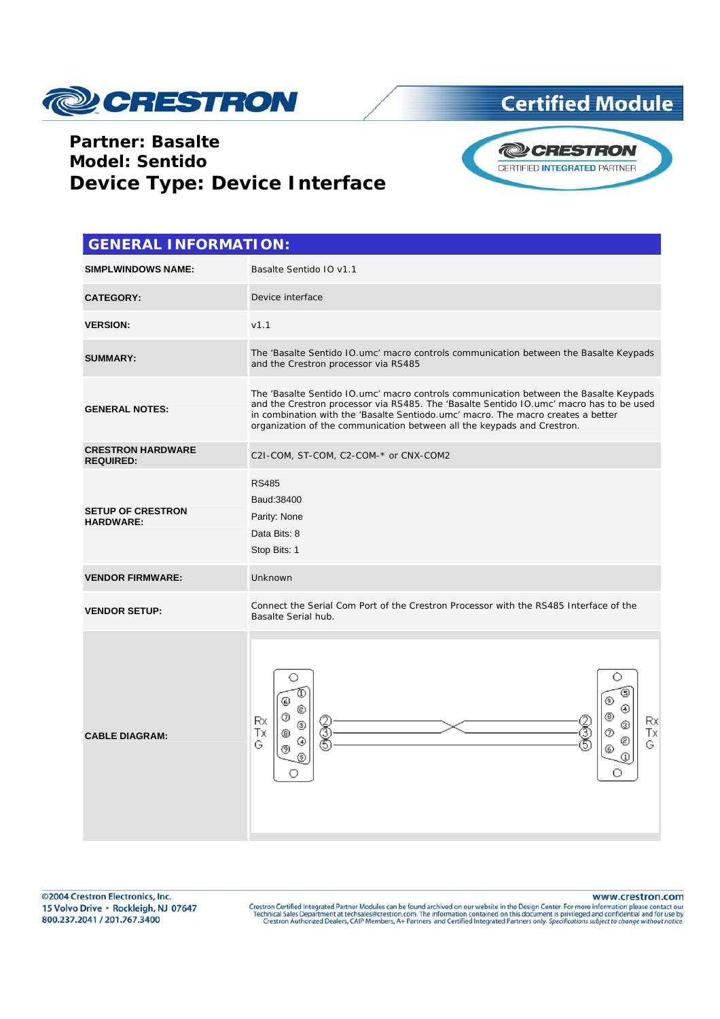

## **Certified Module**

## **Partner: Basalte Model: Sentido Device Type: Device Interface**



| <b>GENERAL INFORMATION:</b>                  |                                                                                                                                                                                                                                                                                                                                                 |  |  |
|----------------------------------------------|-------------------------------------------------------------------------------------------------------------------------------------------------------------------------------------------------------------------------------------------------------------------------------------------------------------------------------------------------|--|--|
| <b>SIMPLWINDOWS NAME:</b>                    | Basalte Sentido IO v1.1                                                                                                                                                                                                                                                                                                                         |  |  |
| <b>CATEGORY:</b>                             | Device interface                                                                                                                                                                                                                                                                                                                                |  |  |
| <b>VERSION:</b>                              | v1.1                                                                                                                                                                                                                                                                                                                                            |  |  |
| <b>SUMMARY:</b>                              | The 'Basalte Sentido IO.umc' macro controls communication between the Basalte Keypads<br>and the Crestron processor via RS485                                                                                                                                                                                                                   |  |  |
| <b>GENERAL NOTES:</b>                        | The 'Basalte Sentido IO.umc' macro controls communication between the Basalte Keypads<br>and the Crestron processor via RS485. The 'Basalte Sentido IO.umc' macro has to be used<br>in combination with the 'Basalte Sentiodo.umc' macro. The macro creates a better<br>organization of the communication between all the keypads and Crestron. |  |  |
| <b>CRESTRON HARDWARE</b><br><b>REQUIRED:</b> | C2I-COM, ST-COM, C2-COM-* or CNX-COM2                                                                                                                                                                                                                                                                                                           |  |  |
| <b>SETUP OF CRESTRON</b><br><b>HARDWARE:</b> | <b>RS485</b><br>Baud: 38400<br>Parity: None<br>Data Bits: 8<br>Stop Bits: 1                                                                                                                                                                                                                                                                     |  |  |
| <b>VENDOR FIRMWARE:</b>                      | Unknown                                                                                                                                                                                                                                                                                                                                         |  |  |
| <b>VENDOR SETUP:</b>                         | Connect the Serial Com Port of the Crestron Processor with the RS485 Interface of the<br>Basalte Serial hub.                                                                                                                                                                                                                                    |  |  |
| <b>CABLE DIAGRAM:</b>                        | ⋐<br>⊕<br>Rx<br>Rx<br>⊚<br>≸<br>5<br>☺<br>Тx<br>Ø<br>Τx<br>©<br>⊛<br>G<br>G<br>⊛                                                                                                                                                                                                                                                                |  |  |

www.crestron.com

Crestron Certified Integrated Partner Modules can be found archived on our website in the Design Center. For more information please contact our<br>Technical Sales Department at techsales@crestron.com. The information contain